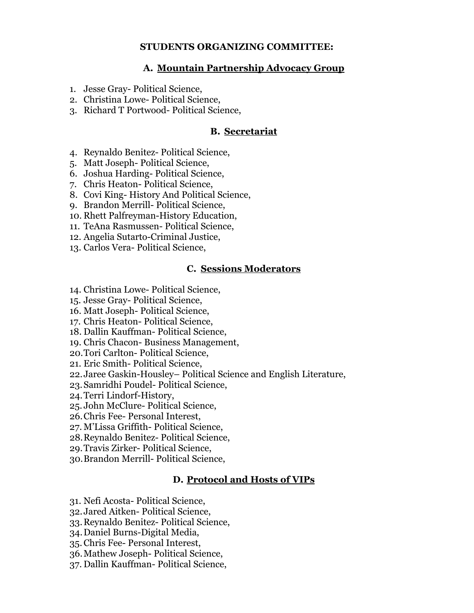## **STUDENTS ORGANIZING COMMITTEE:**

## **A. Mountain Partnership Advocacy Group**

- 1. Jesse Gray- Political Science,
- 2. Christina Lowe- Political Science,
- 3. Richard T Portwood- Political Science,

## **B. Secretariat**

- 4. Reynaldo Benitez- Political Science,
- 5. Matt Joseph- Political Science,
- 6. Joshua Harding- Political Science,
- 7. Chris Heaton- Political Science,
- 8. Covi King- History And Political Science,
- 9. Brandon Merrill- Political Science,
- 10. Rhett Palfreyman-History Education,
- 11. TeAna Rasmussen- Political Science,
- 12. Angelia Sutarto-Criminal Justice,
- 13. Carlos Vera- Political Science,

# **C. Sessions Moderators**

- 14. Christina Lowe- Political Science,
- 15. Jesse Gray- Political Science,
- 16. Matt Joseph- Political Science,
- 17. Chris Heaton- Political Science,
- 18. Dallin Kauffman- Political Science,
- 19. Chris Chacon- Business Management,
- 20.Tori Carlton- Political Science,
- 21. Eric Smith- Political Science,
- 22.Jaree Gaskin-Housley– Political Science and English Literature,
- 23.Samridhi Poudel- Political Science,
- 24.Terri Lindorf-History,
- 25. John McClure- Political Science,
- 26.Chris Fee- Personal Interest,
- 27. M'Lissa Griffith- Political Science,
- 28.Reynaldo Benitez- Political Science,
- 29.Travis Zirker- Political Science,
- 30.Brandon Merrill- Political Science,

#### **D. Protocol and Hosts of VIPs**

- 31. Nefi Acosta- Political Science,
- 32.Jared Aitken- Political Science,
- 33.Reynaldo Benitez- Political Science,
- 34.Daniel Burns-Digital Media,
- 35.Chris Fee- Personal Interest,
- 36.Mathew Joseph- Political Science,
- 37. Dallin Kauffman- Political Science,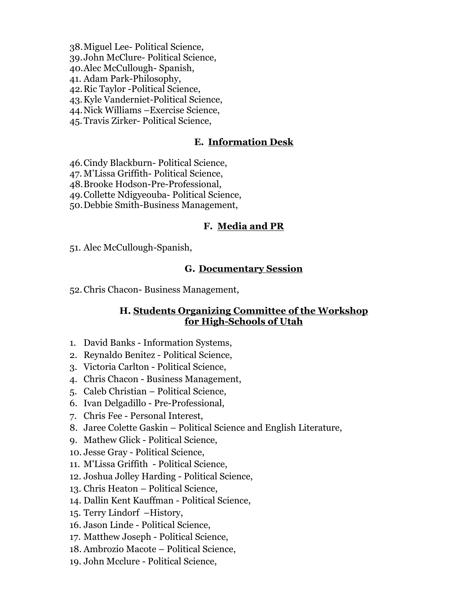- 38.Miguel Lee- Political Science,
- 39.John McClure- Political Science,
- 40.Alec McCullough- Spanish,
- 41. Adam Park-Philosophy,
- 42.Ric Taylor -Political Science,
- 43.Kyle Vanderniet-Political Science,
- 44.Nick Williams –Exercise Science,
- 45.Travis Zirker- Political Science,

# **E. Information Desk**

- 46.Cindy Blackburn- Political Science,
- 47. M'Lissa Griffith- Political Science,
- 48.Brooke Hodson-Pre-Professional,
- 49.Collette Ndigyeouba- Political Science,
- 50.Debbie Smith-Business Management,

# **F. Media and PR**

51. Alec McCullough-Spanish,

# **G. Documentary Session**

52.Chris Chacon- Business Management,

## **H. Students Organizing Committee of the Workshop for High-Schools of Utah**

- 1. David Banks Information Systems,
- 2. Reynaldo Benitez Political Science,
- 3. Victoria Carlton Political Science,
- 4. Chris Chacon Business Management,
- 5. Caleb Christian Political Science,
- 6. Ivan Delgadillo Pre-Professional,
- 7. Chris Fee Personal Interest,
- 8. Jaree Colette Gaskin Political Science and English Literature,
- 9. Mathew Glick Political Science,
- 10. Jesse Gray Political Science,
- 11. M'Lissa Griffith Political Science,
- 12. Joshua Jolley Harding Political Science,
- 13. Chris Heaton Political Science,
- 14. Dallin Kent Kauffman Political Science,
- 15. Terry Lindorf –History,
- 16. Jason Linde Political Science,
- 17. Matthew Joseph Political Science,
- 18. Ambrozio Macote Political Science,
- 19. John Mcclure Political Science,